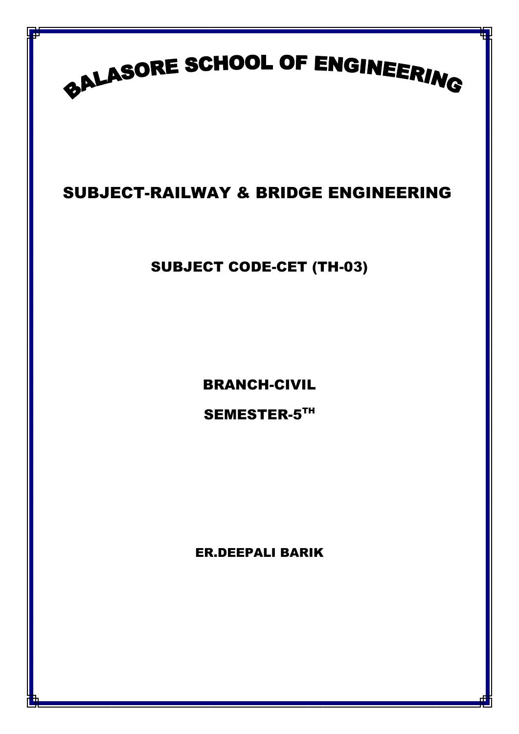

# SUBJECT-RAILWAY & BRIDGE ENGINEERING

SUBJECT CODE-CET (TH-03)

BRANCH-CIVIL

SEMESTER-5TH

ER.DEEPALI BARIK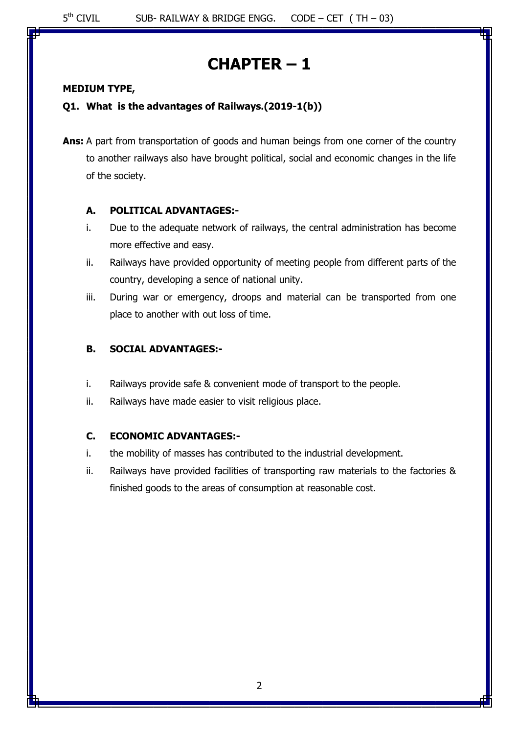# **CHAPTER – 1**

#### **MEDIUM TYPE,**

### **Q1. What is the advantages of Railways.(2019-1(b))**

**Ans:** A part from transportation of goods and human beings from one corner of the country to another railways also have brought political, social and economic changes in the life of the society.

#### **A. POLITICAL ADVANTAGES:-**

- i. Due to the adequate network of railways, the central administration has become more effective and easy.
- ii. Railways have provided opportunity of meeting people from different parts of the country, developing a sence of national unity.
- iii. During war or emergency, droops and material can be transported from one place to another with out loss of time.

#### **B. SOCIAL ADVANTAGES:-**

- i. Railways provide safe & convenient mode of transport to the people.
- ii. Railways have made easier to visit religious place.

#### **C. ECONOMIC ADVANTAGES:-**

- i. the mobility of masses has contributed to the industrial development.
- ii. Railways have provided facilities of transporting raw materials to the factories & finished goods to the areas of consumption at reasonable cost.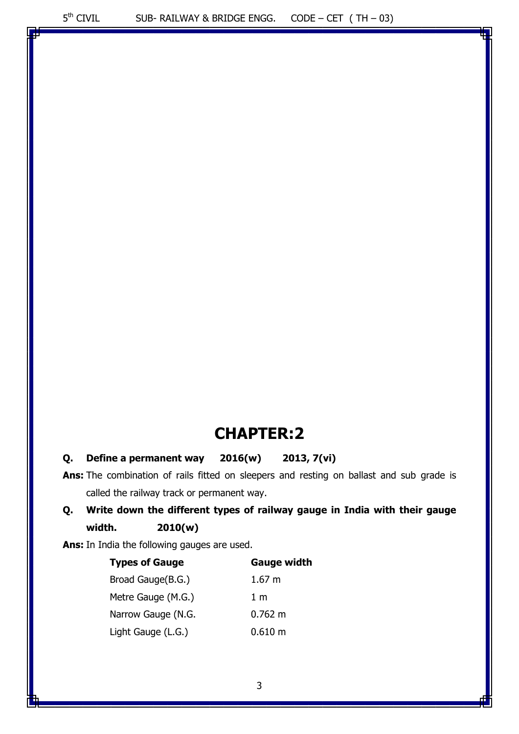# **CHAPTER:2**

## **Q. Define a permanent way 2016(w) 2013, 7(vi)**

**Ans:** The combination of rails fitted on sleepers and resting on ballast and sub grade is called the railway track or permanent way.

## **Q. Write down the different types of railway gauge in India with their gauge width. 2010(w)**

**Ans:** In India the following gauges are used.

| <b>Types of Gauge</b> | <b>Gauge width</b> |
|-----------------------|--------------------|
| Broad Gauge(B.G.)     | $1.67 \text{ m}$   |
| Metre Gauge (M.G.)    | 1 m                |
| Narrow Gauge (N.G.    | $0.762 \text{ m}$  |
| Light Gauge (L.G.)    | $0.610 \;{\rm m}$  |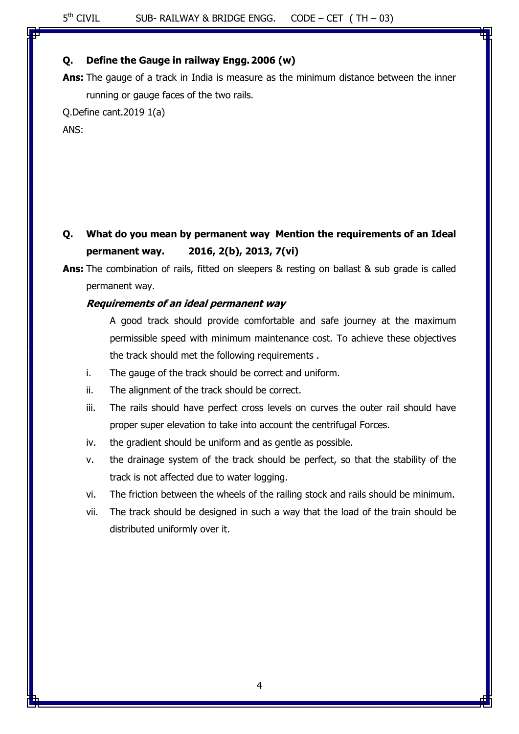### **Q. Define the Gauge in railway Engg.2006 (w)**

**Ans:** The gauge of a track in India is measure as the minimum distance between the inner running or gauge faces of the two rails.

Q.Define cant.2019 1(a)

ANS:

**Q. What do you mean by permanent way Mention the requirements of an Ideal permanent way. 2016, 2(b), 2013, 7(vi)**

**Ans:** The combination of rails, fitted on sleepers & resting on ballast & sub grade is called permanent way.

### **Requirements of an ideal permanent way**

A good track should provide comfortable and safe journey at the maximum permissible speed with minimum maintenance cost. To achieve these objectives the track should met the following requirements .

- i. The gauge of the track should be correct and uniform.
- ii. The alignment of the track should be correct.
- iii. The rails should have perfect cross levels on curves the outer rail should have proper super elevation to take into account the centrifugal Forces.
- iv. the gradient should be uniform and as gentle as possible.
- v. the drainage system of the track should be perfect, so that the stability of the track is not affected due to water logging.
- vi. The friction between the wheels of the railing stock and rails should be minimum.
- vii. The track should be designed in such a way that the load of the train should be distributed uniformly over it.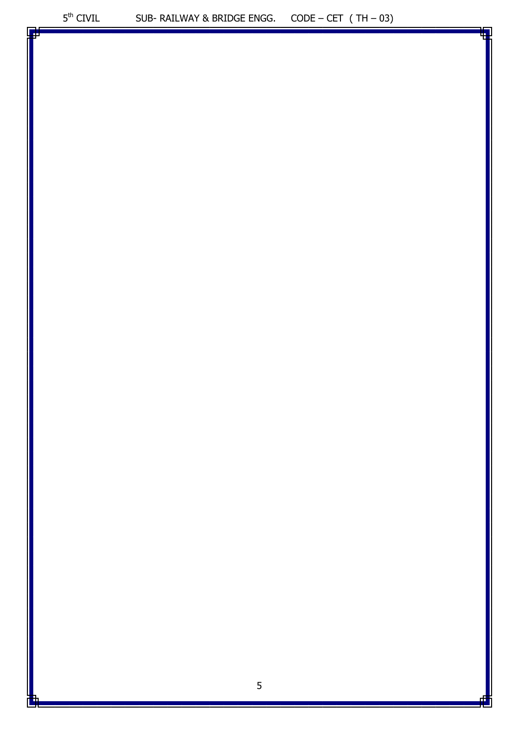$5^{\text{th}}$  CIVIL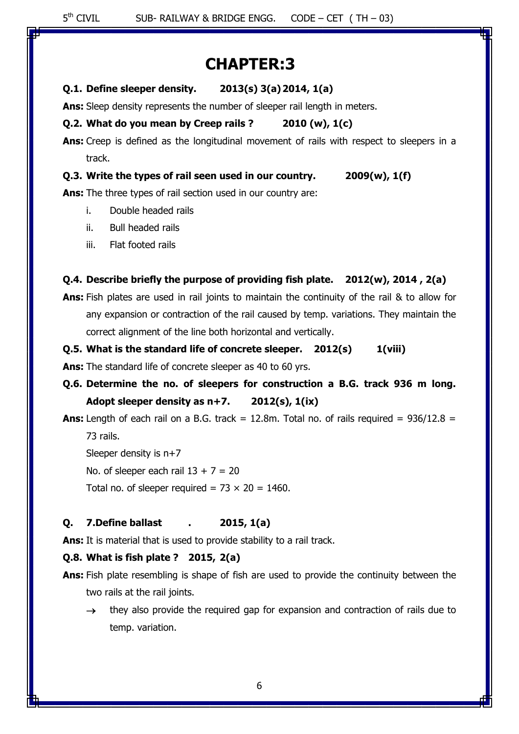# **CHAPTER:3**

### **Q.1. Define sleeper density. 2013(s) 3(a)2014, 1(a)**

**Ans:** Sleep density represents the number of sleeper rail length in meters.

### **Q.2. What do you mean by Creep rails ? 2010 (w), 1(c)**

**Ans:** Creep is defined as the longitudinal movement of rails with respect to sleepers in a track.

**Q.3. Write the types of rail seen used in our country. 2009(w), 1(f)**

**Ans:** The three types of rail section used in our country are:

- i. Double headed rails
- ii. Bull headed rails
- iii. Flat footed rails

### **Q.4. Describe briefly the purpose of providing fish plate. 2012(w), 2014 , 2(a)**

**Ans:** Fish plates are used in rail joints to maintain the continuity of the rail & to allow for any expansion or contraction of the rail caused by temp. variations. They maintain the correct alignment of the line both horizontal and vertically.

### **Q.5. What is the standard life of concrete sleeper. 2012(s) 1(viii)**

**Ans:** The standard life of concrete sleeper as 40 to 60 yrs.

- **Q.6. Determine the no. of sleepers for construction a B.G. track 936 m long. Adopt sleeper density as n+7. 2012(s), 1(ix)**
- **Ans:** Length of each rail on a B.G. track = 12.8m. Total no. of rails required =  $936/12.8$  = 73 rails.

Sleeper density is n+7

No. of sleeper each rail  $13 + 7 = 20$ 

Total no. of sleeper required =  $73 \times 20 = 1460$ .

## **Q. 7.Define ballast . 2015, 1(a)**

**Ans:** It is material that is used to provide stability to a rail track.

### **Q.8. What is fish plate ? 2015, 2(a)**

- **Ans:** Fish plate resembling is shape of fish are used to provide the continuity between the two rails at the rail joints.
	- they also provide the required gap for expansion and contraction of rails due to temp. variation.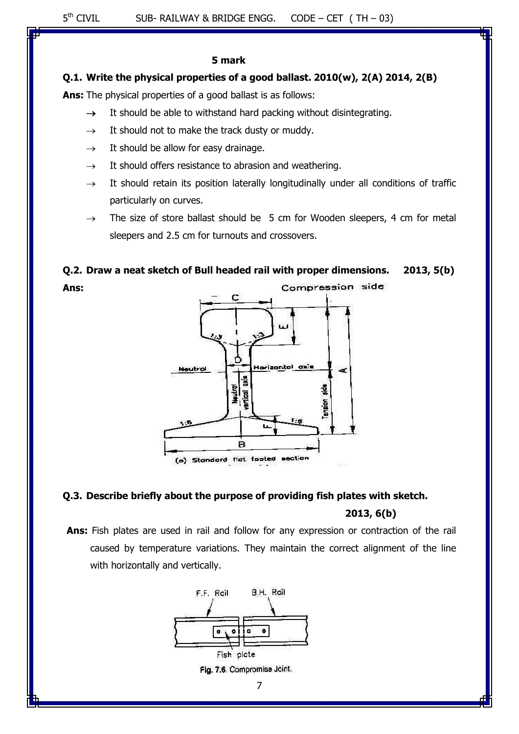#### **5 mark**

#### **Q.1. Write the physical properties of a good ballast. 2010(w), 2(A) 2014, 2(B)**

**Ans:** The physical properties of a good ballast is as follows:

- $\rightarrow$  It should be able to withstand hard packing without disintegrating.
- $\rightarrow$  It should not to make the track dusty or muddy.
- $\rightarrow$  It should be allow for easy drainage.
- $\rightarrow$  It should offers resistance to abrasion and weathering.
- $\rightarrow$  It should retain its position laterally longitudinally under all conditions of traffic particularly on curves.
- $\rightarrow$  The size of store ballast should be 5 cm for Wooden sleepers, 4 cm for metal sleepers and 2.5 cm for turnouts and crossovers.

**Q.2. Draw a neat sketch of Bull headed rail with proper dimensions. 2013, 5(b)**

**Ans:**



## **Q.3. Describe briefly about the purpose of providing fish plates with sketch.**

#### **2013, 6(b)**

**Ans:** Fish plates are used in rail and follow for any expression or contraction of the rail caused by temperature variations. They maintain the correct alignment of the line with horizontally and vertically.



Fig. 7.6. Compromise Joint.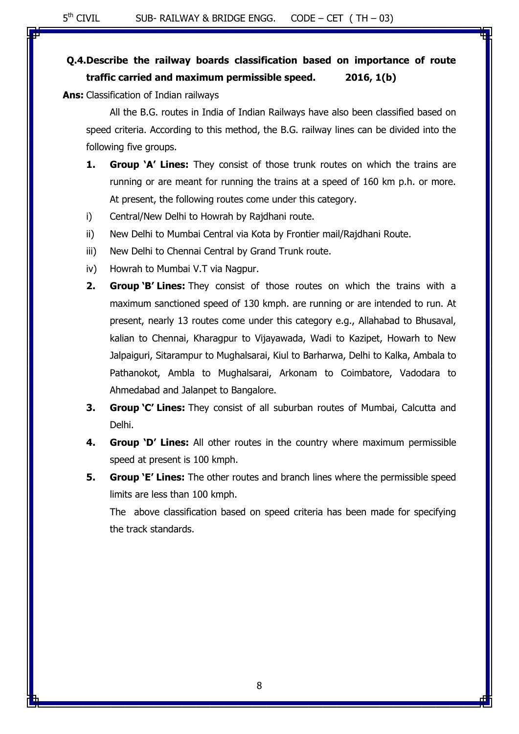## **Q.4.Describe the railway boards classification based on importance of route traffic carried and maximum permissible speed. 2016, 1(b)**

**Ans:** Classification of Indian railways

All the B.G. routes in India of Indian Railways have also been classified based on speed criteria. According to this method, the B.G. railway lines can be divided into the following five groups.

- **1. Group 'A' Lines:** They consist of those trunk routes on which the trains are running or are meant for running the trains at a speed of 160 km p.h. or more. At present, the following routes come under this category.
- i) Central/New Delhi to Howrah by Rajdhani route.
- ii) New Delhi to Mumbai Central via Kota by Frontier mail/Rajdhani Route.
- iii) New Delhi to Chennai Central by Grand Trunk route.
- iv) Howrah to Mumbai V.T via Nagpur.
- **2. Group 'B' Lines:** They consist of those routes on which the trains with a maximum sanctioned speed of 130 kmph. are running or are intended to run. At present, nearly 13 routes come under this category e.g., Allahabad to Bhusaval, kalian to Chennai, Kharagpur to Vijayawada, Wadi to Kazipet, Howarh to New Jalpaiguri, Sitarampur to Mughalsarai, Kiul to Barharwa, Delhi to Kalka, Ambala to Pathanokot, Ambla to Mughalsarai, Arkonam to Coimbatore, Vadodara to Ahmedabad and Jalanpet to Bangalore.
- **3. Group 'C' Lines:** They consist of all suburban routes of Mumbai, Calcutta and Delhi.
- **4. Group 'D' Lines:** All other routes in the country where maximum permissible speed at present is 100 kmph.
- **5. Group 'E' Lines:** The other routes and branch lines where the permissible speed limits are less than 100 kmph.

The above classification based on speed criteria has been made for specifying the track standards.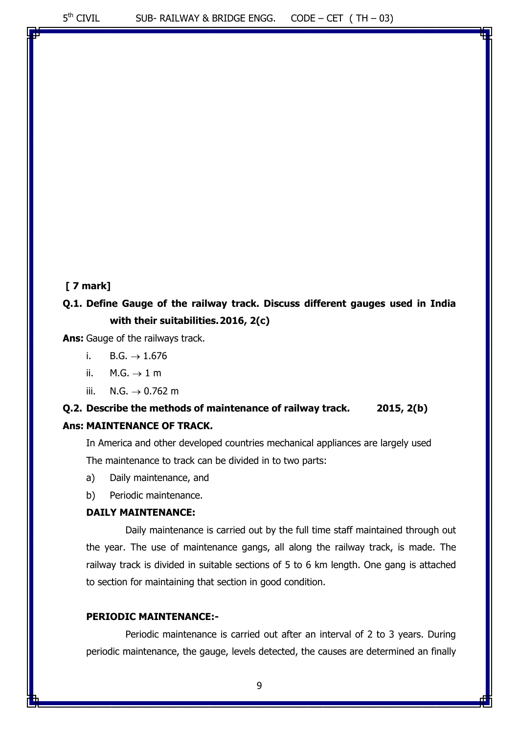### **[ 7 mark]**

## **Q.1. Define Gauge of the railway track. Discuss different gauges used in India with their suitabilities.2016, 2(c)**

**Ans:** Gauge of the railways track.

- i. B.G.  $\rightarrow$  1.676
- ii.  $M.G. \rightarrow 1 m$
- iii.  $N.G. \rightarrow 0.762$  m

## **Q.2. Describe the methods of maintenance of railway track. 2015, 2(b) Ans: MAINTENANCE OF TRACK.**

In America and other developed countries mechanical appliances are largely used The maintenance to track can be divided in to two parts:

- a) Daily maintenance, and
- b) Periodic maintenance.

#### **DAILY MAINTENANCE:**

Daily maintenance is carried out by the full time staff maintained through out the year. The use of maintenance gangs, all along the railway track, is made. The railway track is divided in suitable sections of 5 to 6 km length. One gang is attached to section for maintaining that section in good condition.

#### **PERIODIC MAINTENANCE:-**

Periodic maintenance is carried out after an interval of 2 to 3 years. During periodic maintenance, the gauge, levels detected, the causes are determined an finally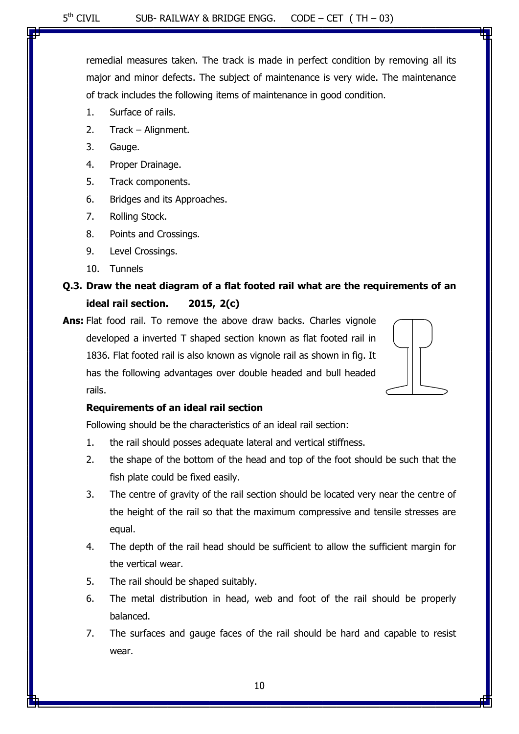remedial measures taken. The track is made in perfect condition by removing all its major and minor defects. The subject of maintenance is very wide. The maintenance of track includes the following items of maintenance in good condition.

- 1. Surface of rails.
- 2. Track Alignment.
- 3. Gauge.
- 4. Proper Drainage.
- 5. Track components.
- 6. Bridges and its Approaches.
- 7. Rolling Stock.
- 8. Points and Crossings.
- 9. Level Crossings.
- 10. Tunnels

## **Q.3. Draw the neat diagram of a flat footed rail what are the requirements of an ideal rail section. 2015, 2(c)**

**Ans:** Flat food rail. To remove the above draw backs. Charles vignole developed a inverted T shaped section known as flat footed rail in 1836. Flat footed rail is also known as vignole rail as shown in fig. It has the following advantages over double headed and bull headed rails.



### **Requirements of an ideal rail section**

Following should be the characteristics of an ideal rail section:

- 1. the rail should posses adequate lateral and vertical stiffness.
- 2. the shape of the bottom of the head and top of the foot should be such that the fish plate could be fixed easily.
- 3. The centre of gravity of the rail section should be located very near the centre of the height of the rail so that the maximum compressive and tensile stresses are equal.
- 4. The depth of the rail head should be sufficient to allow the sufficient margin for the vertical wear.
- 5. The rail should be shaped suitably.
- 6. The metal distribution in head, web and foot of the rail should be properly balanced.
- 7. The surfaces and gauge faces of the rail should be hard and capable to resist wear.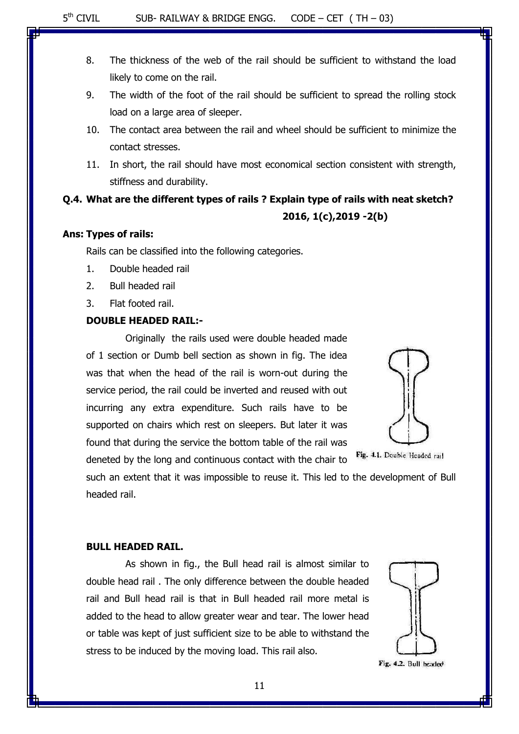- 8. The thickness of the web of the rail should be sufficient to withstand the load likely to come on the rail.
- 9. The width of the foot of the rail should be sufficient to spread the rolling stock load on a large area of sleeper.
- 10. The contact area between the rail and wheel should be sufficient to minimize the contact stresses.
- 11. In short, the rail should have most economical section consistent with strength, stiffness and durability.

**Q.4. What are the different types of rails ? Explain type of rails with neat sketch? 2016, 1(c),2019 -2(b)**

## **Ans: Types of rails:**

Rails can be classified into the following categories.

- 1. Double headed rail
- 2. Bull headed rail
- 3. Flat footed rail.

### **DOUBLE HEADED RAIL:-**

Originally the rails used were double headed made of 1 section or Dumb bell section as shown in fig. The idea was that when the head of the rail is worn-out during the service period, the rail could be inverted and reused with out incurring any extra expenditure. Such rails have to be supported on chairs which rest on sleepers. But later it was found that during the service the bottom table of the rail was deneted by the long and continuous contact with the chair to



Fig. 4.1. Double Headed rail

such an extent that it was impossible to reuse it. This led to the development of Bull headed rail.

#### **BULL HEADED RAIL.**

As shown in fig., the Bull head rail is almost similar to double head rail . The only difference between the double headed rail and Bull head rail is that in Bull headed rail more metal is added to the head to allow greater wear and tear. The lower head or table was kept of just sufficient size to be able to withstand the stress to be induced by the moving load. This rail also.



Fig. 4.2. Bull headed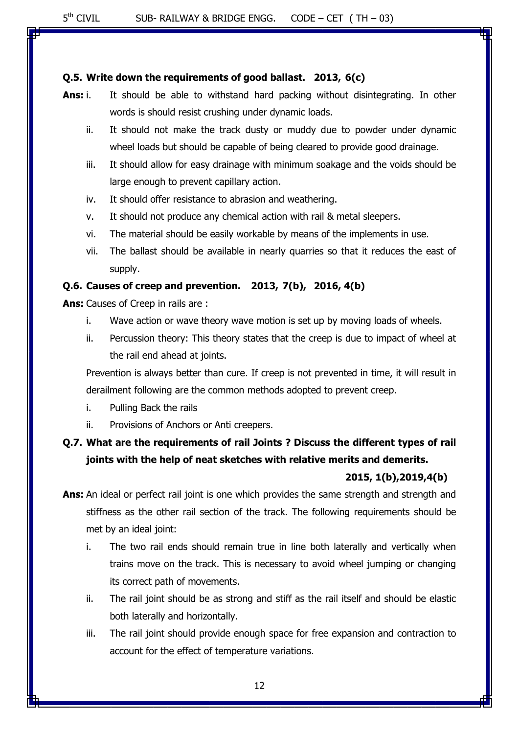### **Q.5. Write down the requirements of good ballast. 2013, 6(c)**

- **Ans:** i. It should be able to withstand hard packing without disintegrating. In other words is should resist crushing under dynamic loads.
	- ii. It should not make the track dusty or muddy due to powder under dynamic wheel loads but should be capable of being cleared to provide good drainage.
	- iii. It should allow for easy drainage with minimum soakage and the voids should be large enough to prevent capillary action.
	- iv. It should offer resistance to abrasion and weathering.
	- v. It should not produce any chemical action with rail & metal sleepers.
	- vi. The material should be easily workable by means of the implements in use.
	- vii. The ballast should be available in nearly quarries so that it reduces the east of supply.

### **Q.6. Causes of creep and prevention. 2013, 7(b), 2016, 4(b)**

**Ans:** Causes of Creep in rails are :

- i. Wave action or wave theory wave motion is set up by moving loads of wheels.
- ii. Percussion theory: This theory states that the creep is due to impact of wheel at the rail end ahead at joints.

Prevention is always better than cure. If creep is not prevented in time, it will result in derailment following are the common methods adopted to prevent creep.

i. Pulling Back the rails

ii. Provisions of Anchors or Anti creepers.

## **Q.7. What are the requirements of rail Joints ? Discuss the different types of rail joints with the help of neat sketches with relative merits and demerits.**

## **2015, 1(b),2019,4(b)**

**Ans:** An ideal or perfect rail joint is one which provides the same strength and strength and stiffness as the other rail section of the track. The following requirements should be met by an ideal joint:

- i. The two rail ends should remain true in line both laterally and vertically when trains move on the track. This is necessary to avoid wheel jumping or changing its correct path of movements.
- ii. The rail joint should be as strong and stiff as the rail itself and should be elastic both laterally and horizontally.
- iii. The rail joint should provide enough space for free expansion and contraction to account for the effect of temperature variations.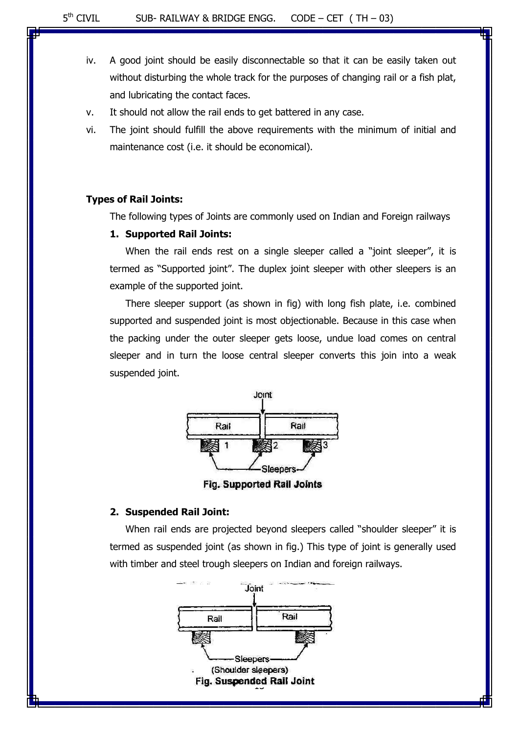- iv. A good joint should be easily disconnectable so that it can be easily taken out without disturbing the whole track for the purposes of changing rail or a fish plat, and lubricating the contact faces.
- v. It should not allow the rail ends to get battered in any case.
- vi. The joint should fulfill the above requirements with the minimum of initial and maintenance cost (i.e. it should be economical).

#### **Types of Rail Joints:**

The following types of Joints are commonly used on Indian and Foreign railways

#### **1. Supported Rail Joints:**

When the rail ends rest on a single sleeper called a "joint sleeper", it is termed as "Supported joint". The duplex joint sleeper with other sleepers is an example of the supported joint.

There sleeper support (as shown in fig) with long fish plate, i.e. combined supported and suspended joint is most objectionable. Because in this case when the packing under the outer sleeper gets loose, undue load comes on central sleeper and in turn the loose central sleeper converts this join into a weak suspended joint.



**Fig. Supported Rail Joints** 

#### **2. Suspended Rail Joint:**

When rail ends are projected beyond sleepers called "shoulder sleeper" it is termed as suspended joint (as shown in fig.) This type of joint is generally used with timber and steel trough sleepers on Indian and foreign railways.

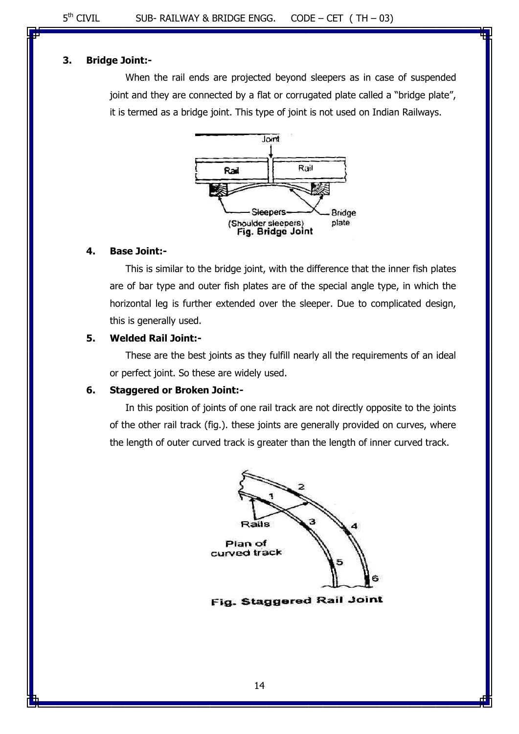#### **3. Bridge Joint:-**

When the rail ends are projected beyond sleepers as in case of suspended joint and they are connected by a flat or corrugated plate called a "bridge plate", it is termed as a bridge joint. This type of joint is not used on Indian Railways.



#### **4. Base Joint:-**

This is similar to the bridge joint, with the difference that the inner fish plates are of bar type and outer fish plates are of the special angle type, in which the horizontal leg is further extended over the sleeper. Due to complicated design, this is generally used.

#### **5. Welded Rail Joint:-**

These are the best joints as they fulfill nearly all the requirements of an ideal or perfect joint. So these are widely used.

#### **6. Staggered or Broken Joint:-**

In this position of joints of one rail track are not directly opposite to the joints of the other rail track (fig.). these joints are generally provided on curves, where the length of outer curved track is greater than the length of inner curved track.



Fig. Staggered Rail Joint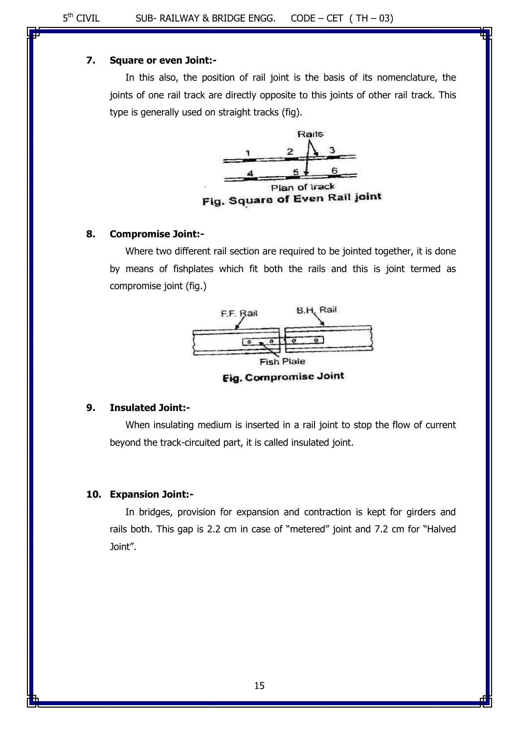#### **7. Square or even Joint:-**

In this also, the position of rail joint is the basis of its nomenclature, the joints of one rail track are directly opposite to this joints of other rail track. This type is generally used on straight tracks (fig).



#### **8. Compromise Joint:-**

Where two different rail section are required to be jointed together, it is done by means of fishplates which fit both the rails and this is joint termed as compromise joint (fig.)



**Fig. Compromise Joint** 

#### **9. Insulated Joint:-**

When insulating medium is inserted in a rail joint to stop the flow of current beyond the track-circuited part, it is called insulated joint.

#### **10. Expansion Joint:-**

In bridges, provision for expansion and contraction is kept for girders and rails both. This gap is 2.2 cm in case of "metered" joint and 7.2 cm for "Halved Joint".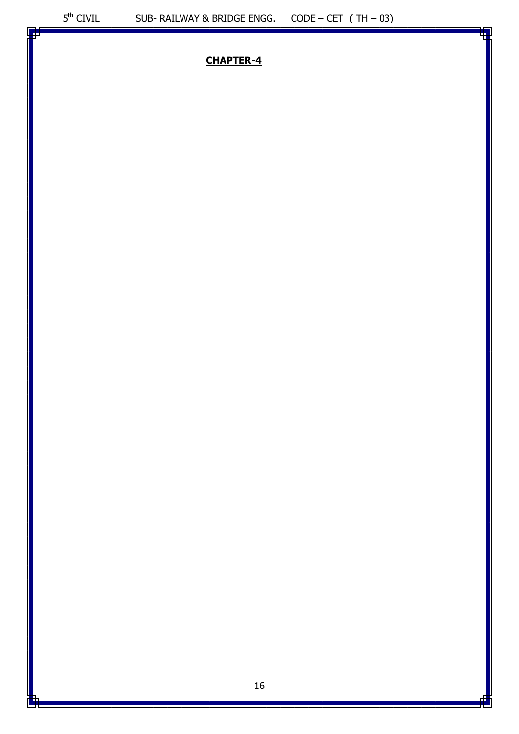## **CHAPTER-4**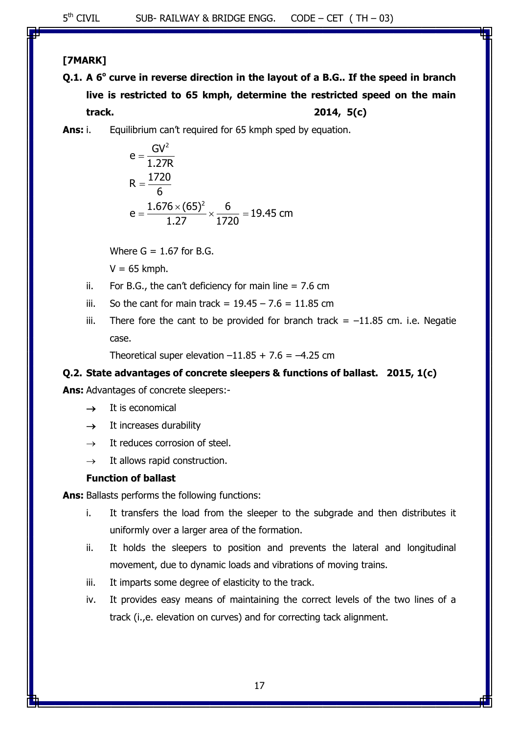### **[7MARK]**

## **Q.1. A 6<sup>o</sup> curve in reverse direction in the layout of a B.G.. If the speed in branch live is restricted to 65 kmph, determine the restricted speed on the main track. 2014, 5(c)**

**Ans:** i. Equilibrium can't required for 65 kmph sped by equation.

$$
e = \frac{GV^2}{1.27R}
$$
  
R =  $\frac{1720}{6}$   
e =  $\frac{1.676 \times (65)^2}{1.27} \times \frac{6}{1720} = 19.45$  cm

Where  $G = 1.67$  for B.G.

 $V = 65$  kmph.

- ii. For B.G., the can't deficiency for main line  $= 7.6$  cm
- iii. So the cant for main track =  $19.45 7.6 = 11.85$  cm
- iii. There fore the cant to be provided for branch track  $= -11.85$  cm. i.e. Negatie case.

Theoretical super elevation  $-11.85 + 7.6 = -4.25$  cm

#### **Q.2. State advantages of concrete sleepers & functions of ballast. 2015, 1(c)**

**Ans:** Advantages of concrete sleepers:-

- $\rightarrow$  It is economical
- $\rightarrow$  It increases durability
- $\rightarrow$  It reduces corrosion of steel.
- $\rightarrow$  It allows rapid construction.

#### **Function of ballast**

**Ans:** Ballasts performs the following functions:

- i. It transfers the load from the sleeper to the subgrade and then distributes it uniformly over a larger area of the formation.
- ii. It holds the sleepers to position and prevents the lateral and longitudinal movement, due to dynamic loads and vibrations of moving trains.
- iii. It imparts some degree of elasticity to the track.
- iv. It provides easy means of maintaining the correct levels of the two lines of a track (i.,e. elevation on curves) and for correcting tack alignment.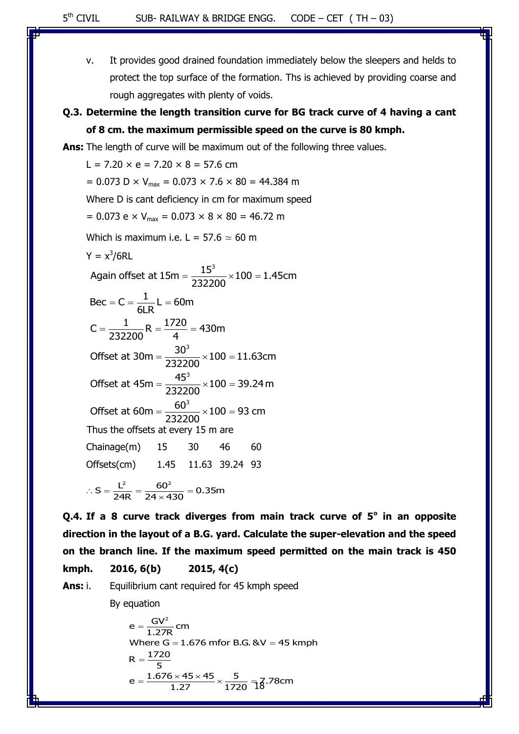- v. It provides good drained foundation immediately below the sleepers and helds to protect the top surface of the formation. Ths is achieved by providing coarse and rough aggregates with plenty of voids.
- **Q.3. Determine the length transition curve for BG track curve of 4 having a cant of 8 cm. the maximum permissible speed on the curve is 80 kmph.**

**Ans:** The length of curve will be maximum out of the following three values.

 $L = 7.20 \times e = 7.20 \times 8 = 57.6$  cm  $= 0.073$  D  $\times$  V<sub>max</sub>  $= 0.073 \times 7.6 \times 80 = 44.384$  m Where D is cant deficiency in cm for maximum speed  $= 0.073$  e  $\times$  V<sub>max</sub>  $= 0.073 \times 8 \times 80 = 46.72$  m Which is maximum i.e. L =  $57.6 \approx 60$  m  $Y = x^3/6RL$  Thus the offsets at every 15 m are Chainage(m) 15 30 46 60 Offsets(cm) 1.45 11.63 39.24 93 3 3 3 3  $\gamma$  = x<sup>3</sup>/6RL<br>Again offset at 15m =  $\frac{15^3}{232200}$  × 100 = 1.45cm 1 Bec =  $C = \frac{1}{6LR}L = 60m$ Bec = C =  $\frac{1}{6LR}$ L = 60m<br>C =  $\frac{1}{232200}$ R =  $\frac{1720}{4}$  = 430m  $\frac{1}{232200}R = \frac{172}{4}$  $\frac{30^{3}}{100}$  Offset at 30m =  $\frac{30^{3}}{232200}$  × 100 = 11.63cm Offset at  $45m = \frac{45^3}{232200} \times 100 = 39.24 \text{ m}$ Offset at  $60m = \frac{60^3}{232200} \times 100 = 93$  cm  $\frac{1}{6LR} = \frac{1720}{4} = 430m$ ∴ S =  $\frac{L^2}{24R}$  =  $\frac{60^2}{24 \times 430}$  = 0.35m

**Q.4. If a 8 curve track diverges from main track curve of 5<sup>o</sup> in an opposite direction in the layout of a B.G. yard. Calculate the super-elevation and the speed on the branch line. If the maximum speed permitted on the main track is 450 kmph. 2016, 6(b) 2015, 4(c)**

**Ans:** i. Equilibrium cant required for 45 kmph speed

By equation

R =  $\frac{1720}{5}$ <br>e =  $\frac{1.676 \times 45 \times 45}{1.27} \times \frac{5}{1720}$  =  $\frac{7}{8}$ .78cm  $GV<sup>2</sup>$ quation<br>e =  $\frac{GV^2}{1.27R}$  cm  $e = \frac{GV^2}{1.27R}$ cm<br>Where G = 1.676 mfor B.G. &V = 45 kmph  $R = \frac{1720}{5}$ =  $\frac{1/20}{5}$ <br>=  $\frac{1.676 \times 45 \times 45}{1.27} \times \frac{5}{1720}$  =  $\frac{1}{8}$ .780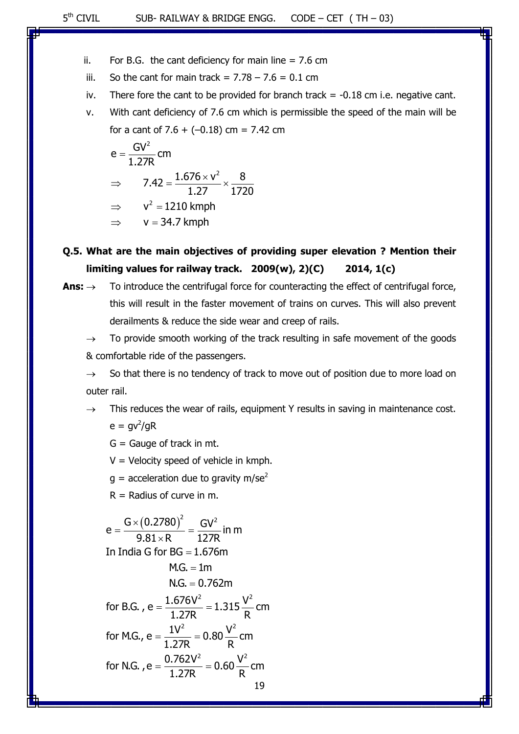- ii. For B.G. the cant deficiency for main line  $= 7.6$  cm
- iii. So the cant for main track =  $7.78 7.6 = 0.1$  cm
- iv. There fore the cant to be provided for branch track  $= -0.18$  cm i.e. negative cant.
- v. With cant deficiency of 7.6 cm which is permissible the speed of the main will be for a cant of  $7.6 + (-0.18)$  cm = 7.42 cm

$$
e = \frac{GV^2}{1.27R} \text{ cm}
$$
  
\n
$$
\Rightarrow 7.42 = \frac{1.676 \times v^2}{1.27} \times \frac{8}{1720}
$$
  
\n
$$
\Rightarrow v^2 = 1210 \text{ kmph}
$$
  
\n
$$
\Rightarrow v = 34.7 \text{ kmph}
$$

## **Q.5. What are the main objectives of providing super elevation ? Mention their limiting values for railway track. 2009(w), 2)(C) 2014, 1(c)**

**Ans:**  $\rightarrow$  To introduce the centrifugal force for counteracting the effect of centrifugal force,

this will result in the faster movement of trains on curves. This will also prevent derailments & reduce the side wear and creep of rails.

 $\rightarrow$  To provide smooth working of the track resulting in safe movement of the goods & comfortable ride of the passengers.

 $\rightarrow$  So that there is no tendency of track to move out of position due to more load on outer rail.

- $\rightarrow$  This reduces the wear of rails, equipment Y results in saving in maintenance cost.  $e = gv^2/gR$ 
	- $G =$  Gauge of track in mt.

 $V =$  Velocity speed of vehicle in kmph.

 $g =$  acceleration due to gravity m/se<sup>2</sup>

 $R =$  Radius of curve in m.

$$
e = \frac{G \times (0.2780)^{2}}{9.81 \times R} = \frac{GV^{2}}{127R} \text{ in m}
$$
  
In India G for BG = 1.676m  
M.G. = 1m  
N.G. = 0.762m  
for B.G. ,  $e = \frac{1.676V^{2}}{1.27R} = 1.315 \frac{V^{2}}{R} \text{ cm}$   
for M.G.,  $e = \frac{1V^{2}}{1.27R} = 0.80 \frac{V^{2}}{R} \text{ cm}$   
for N.G. ,  $e = \frac{0.762V^{2}}{1.27R} = 0.60 \frac{V^{2}}{R} \text{ cm}$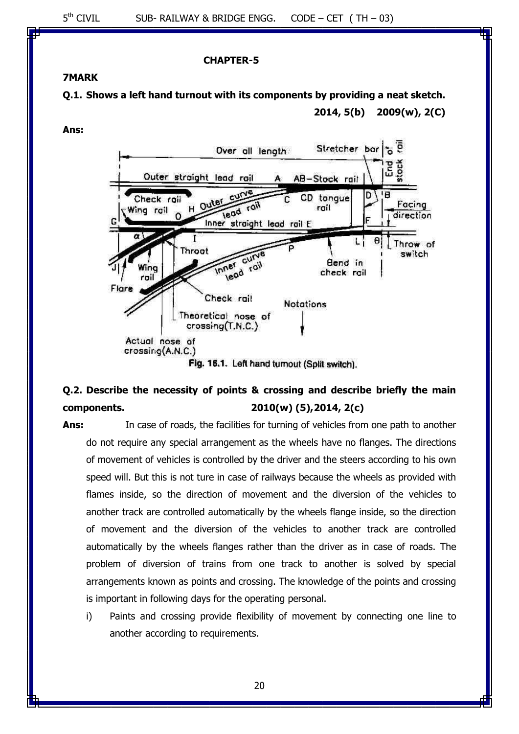#### **CHAPTER-5**

#### **7MARK**

**Q.1. Shows a left hand turnout with its components by providing a neat sketch. 2014, 5(b) 2009(w), 2(C)**

**Ans:**



## **Q.2. Describe the necessity of points & crossing and describe briefly the main components. 2010(w) (5),2014, 2(c)**

- **Ans:** In case of roads, the facilities for turning of vehicles from one path to another do not require any special arrangement as the wheels have no flanges. The directions of movement of vehicles is controlled by the driver and the steers according to his own speed will. But this is not ture in case of railways because the wheels as provided with flames inside, so the direction of movement and the diversion of the vehicles to another track are controlled automatically by the wheels flange inside, so the direction of movement and the diversion of the vehicles to another track are controlled automatically by the wheels flanges rather than the driver as in case of roads. The problem of diversion of trains from one track to another is solved by special arrangements known as points and crossing. The knowledge of the points and crossing is important in following days for the operating personal.
	- i) Paints and crossing provide flexibility of movement by connecting one line to another according to requirements.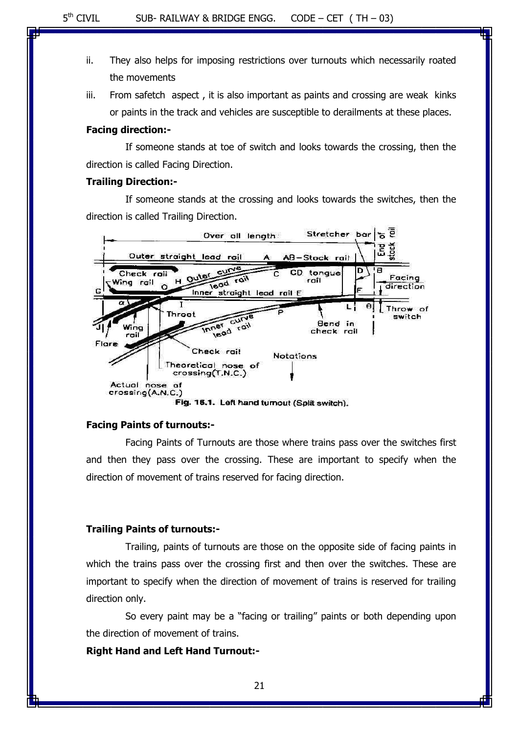- ii. They also helps for imposing restrictions over turnouts which necessarily roated the movements
- iii. From safetch aspect, it is also important as paints and crossing are weak kinks or paints in the track and vehicles are susceptible to derailments at these places.

#### **Facing direction:-**

If someone stands at toe of switch and looks towards the crossing, then the direction is called Facing Direction.

#### **Trailing Direction:-**

If someone stands at the crossing and looks towards the switches, then the direction is called Trailing Direction.



Fig. 16.1. Left hand turnout (Split switch).

#### **Facing Paints of turnouts:-**

Facing Paints of Turnouts are those where trains pass over the switches first and then they pass over the crossing. These are important to specify when the direction of movement of trains reserved for facing direction.

#### **Trailing Paints of turnouts:-**

Trailing, paints of turnouts are those on the opposite side of facing paints in which the trains pass over the crossing first and then over the switches. These are important to specify when the direction of movement of trains is reserved for trailing direction only.

So every paint may be a "facing or trailing" paints or both depending upon the direction of movement of trains.

#### **Right Hand and Left Hand Turnout:-**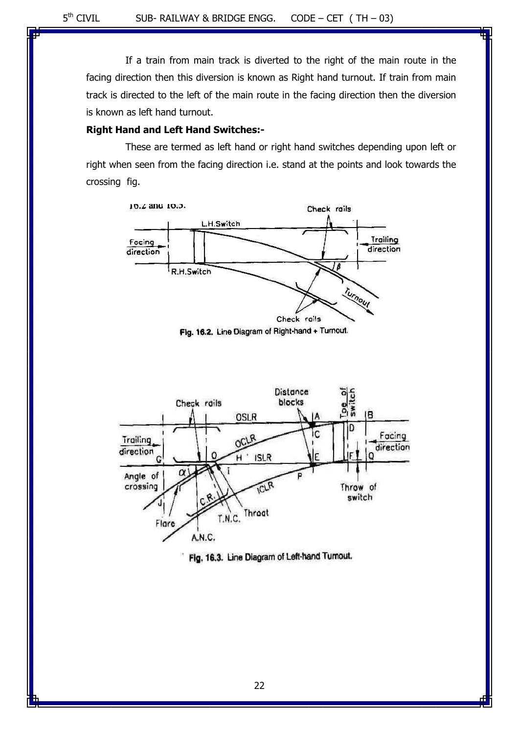If a train from main track is diverted to the right of the main route in the facing direction then this diversion is known as Right hand turnout. If train from main track is directed to the left of the main route in the facing direction then the diversion is known as left hand turnout.

### **Right Hand and Left Hand Switches:-**

These are termed as left hand or right hand switches depending upon left or right when seen from the facing direction i.e. stand at the points and look towards the crossing fig.







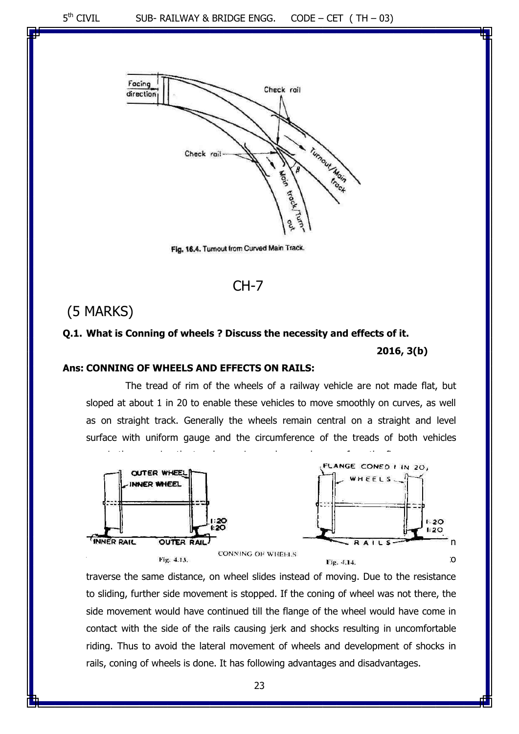

Fig. 16.4. Turnout from Curved Main Track.

## CH-7

## (5 MARKS)

### **Q.1. What is Conning of wheels ? Discuss the necessity and effects of it.**

**2016, 3(b)**

#### **Ans: CONNING OF WHEELS AND EFFECTS ON RAILS:**

The tread of rim of the wheels of a railway vehicle are not made flat, but sloped at about 1 in 20 to enable these vehicles to move smoothly on curves, as well as on straight track. Generally the wheels remain central on a straight and level surface with uniform gauge and the circumference of the treads of both vehicles



traverse the same distance, on wheel slides instead of moving. Due to the resistance to sliding, further side movement is stopped. If the coning of wheel was not there, the side movement would have continued till the flange of the wheel would have come in contact with the side of the rails causing jerk and shocks resulting in uncomfortable riding. Thus to avoid the lateral movement of wheels and development of shocks in rails, coning of wheels is done. It has following advantages and disadvantages.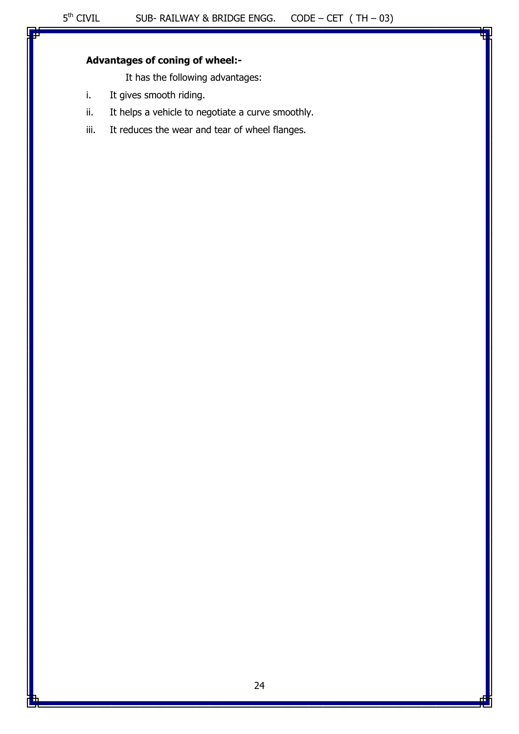## **Advantages of coning of wheel:-**

It has the following advantages:

- i. It gives smooth riding.
- ii. It helps a vehicle to negotiate a curve smoothly.
- iii. It reduces the wear and tear of wheel flanges.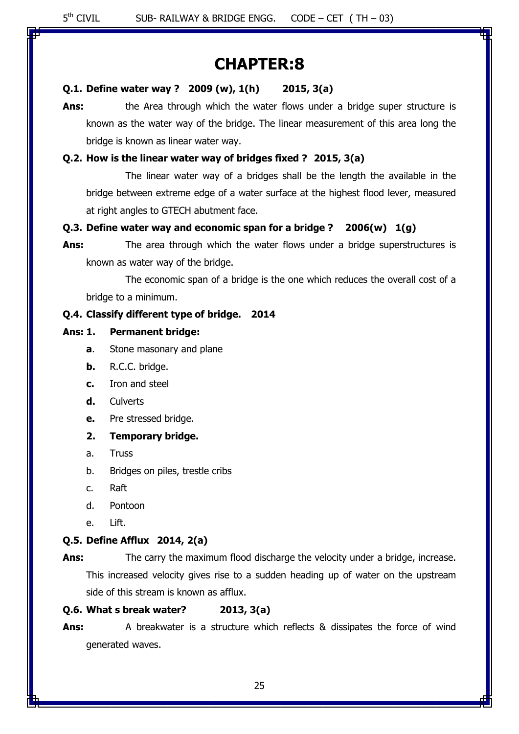# **CHAPTER:8**

### **Q.1. Define water way ? 2009 (w), 1(h) 2015, 3(a)**

**Ans:** the Area through which the water flows under a bridge super structure is known as the water way of the bridge. The linear measurement of this area long the bridge is known as linear water way.

### **Q.2. How is the linear water way of bridges fixed ? 2015, 3(a)**

The linear water way of a bridges shall be the length the available in the bridge between extreme edge of a water surface at the highest flood lever, measured at right angles to GTECH abutment face.

#### **Q.3. Define water way and economic span for a bridge ? 2006(w) 1(g)**

**Ans:** The area through which the water flows under a bridge superstructures is known as water way of the bridge.

The economic span of a bridge is the one which reduces the overall cost of a bridge to a minimum.

#### **Q.4. Classify different type of bridge. 2014**

#### **Ans: 1. Permanent bridge:**

- **a**. Stone masonary and plane
- **b.** R.C.C. bridge.
- **c.** Iron and steel
- **d.** Culverts
- **e.** Pre stressed bridge.

#### **2. Temporary bridge.**

- a. Truss
- b. Bridges on piles, trestle cribs
- c. Raft
- d. Pontoon
- e. Lift.

#### **Q.5. Define Afflux 2014, 2(a)**

**Ans:** The carry the maximum flood discharge the velocity under a bridge, increase. This increased velocity gives rise to a sudden heading up of water on the upstream side of this stream is known as afflux.

#### **Q.6. What s break water? 2013, 3(a)**

**Ans:** A breakwater is a structure which reflects & dissipates the force of wind generated waves.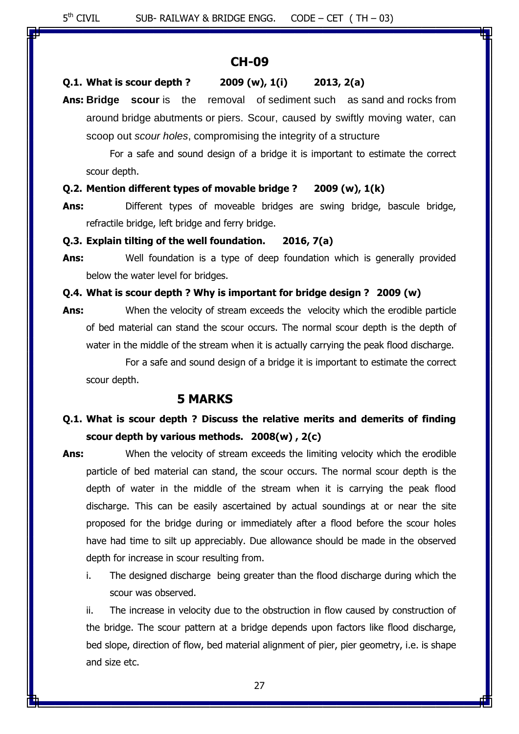### **CH-09**

## **Q.1. What is scour depth ? 2009 (w), 1(i) 2013, 2(a)**

 $5<sup>th</sup>$  CIVIL

**Ans: Bridge scour** is the removal of [sediment](https://en.wikipedia.org/wiki/Sediment) such as [sand](https://en.wikipedia.org/wiki/Sand) and [rocks](https://en.wikipedia.org/wiki/Rocks) from around [bridge](https://en.wikipedia.org/wiki/Bridge) [abutments](https://en.wikipedia.org/wiki/Abutment) or [piers.](https://en.wikipedia.org/wiki/Pier_(architecture)) Scour, caused by swiftly moving water, can scoop out *scour holes*, compromising the integrity of a structure

For a safe and sound design of a bridge it is important to estimate the correct scour depth.

## **Q.2. Mention different types of movable bridge ? 2009 (w), 1(k)**

Ans: Different types of moveable bridges are swing bridge, bascule bridge, refractile bridge, left bridge and ferry bridge.

**Q.3. Explain tilting of the well foundation. 2016, 7(a)**

**Ans:** Well foundation is a type of deep foundation which is generally provided below the water level for bridges.

**Q.4. What is scour depth ? Why is important for bridge design ? 2009 (w)**

**Ans:** When the velocity of stream exceeds the velocity which the erodible particle of bed material can stand the scour occurs. The normal scour depth is the depth of water in the middle of the stream when it is actually carrying the peak flood discharge.

For a safe and sound design of a bridge it is important to estimate the correct scour depth.

## **5 MARKS**

## **Q.1. What is scour depth ? Discuss the relative merits and demerits of finding scour depth by various methods. 2008(w) , 2(c)**

- **Ans:** When the velocity of stream exceeds the limiting velocity which the erodible particle of bed material can stand, the scour occurs. The normal scour depth is the depth of water in the middle of the stream when it is carrying the peak flood discharge. This can be easily ascertained by actual soundings at or near the site proposed for the bridge during or immediately after a flood before the scour holes have had time to silt up appreciably. Due allowance should be made in the observed depth for increase in scour resulting from.
	- i. The designed discharge being greater than the flood discharge during which the scour was observed.

ii. The increase in velocity due to the obstruction in flow caused by construction of the bridge. The scour pattern at a bridge depends upon factors like flood discharge, bed slope, direction of flow, bed material alignment of pier, pier geometry, i.e. is shape and size etc.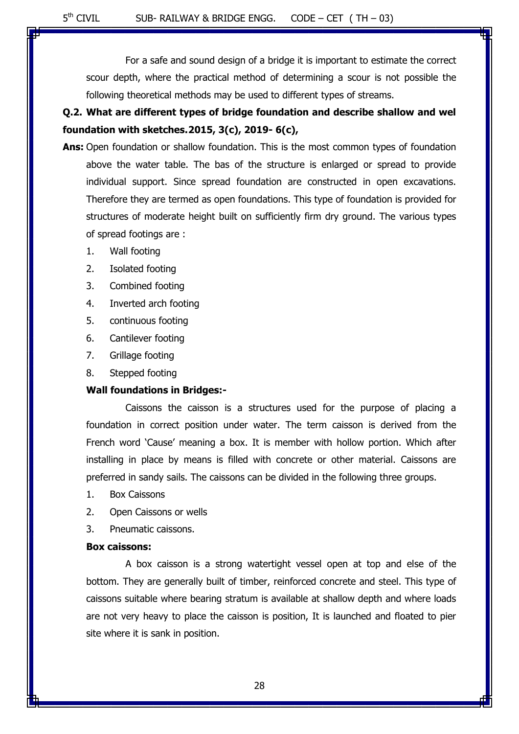For a safe and sound design of a bridge it is important to estimate the correct scour depth, where the practical method of determining a scour is not possible the following theoretical methods may be used to different types of streams.

## **Q.2. What are different types of bridge foundation and describe shallow and wel foundation with sketches.2015, 3(c), 2019- 6(c),**

- **Ans:** Open foundation or shallow foundation. This is the most common types of foundation above the water table. The bas of the structure is enlarged or spread to provide individual support. Since spread foundation are constructed in open excavations. Therefore they are termed as open foundations. This type of foundation is provided for structures of moderate height built on sufficiently firm dry ground. The various types of spread footings are :
	- 1. Wall footing
	- 2. Isolated footing
	- 3. Combined footing
	- 4. Inverted arch footing
	- 5. continuous footing
	- 6. Cantilever footing
	- 7. Grillage footing
	- 8. Stepped footing

#### **Wall foundations in Bridges:-**

Caissons the caisson is a structures used for the purpose of placing a foundation in correct position under water. The term caisson is derived from the French word 'Cause' meaning a box. It is member with hollow portion. Which after installing in place by means is filled with concrete or other material. Caissons are preferred in sandy sails. The caissons can be divided in the following three groups.

- 1. Box Caissons
- 2. Open Caissons or wells
- 3. Pneumatic caissons.

#### **Box caissons:**

A box caisson is a strong watertight vessel open at top and else of the bottom. They are generally built of timber, reinforced concrete and steel. This type of caissons suitable where bearing stratum is available at shallow depth and where loads are not very heavy to place the caisson is position, It is launched and floated to pier site where it is sank in position.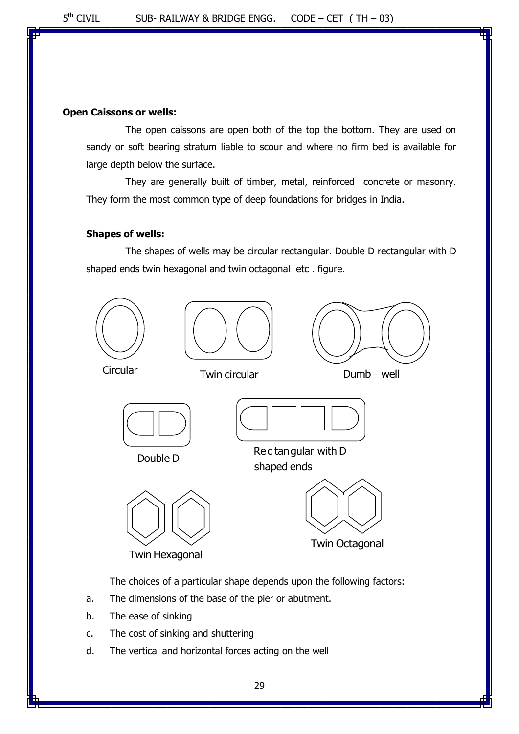#### **Open Caissons or wells:**

The open caissons are open both of the top the bottom. They are used on sandy or soft bearing stratum liable to scour and where no firm bed is available for large depth below the surface.

They are generally built of timber, metal, reinforced concrete or masonry. They form the most common type of deep foundations for bridges in India.

#### **Shapes of wells:**

The shapes of wells may be circular rectangular. Double D rectangular with D shaped ends twin hexagonal and twin octagonal etc . figure.



- b. The ease of sinking
- c. The cost of sinking and shuttering
- d. The vertical and horizontal forces acting on the well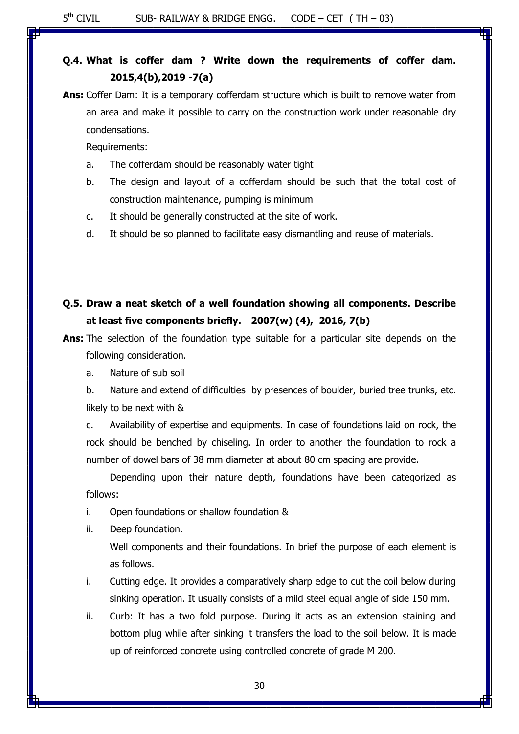## **Q.4. What is coffer dam ? Write down the requirements of coffer dam. 2015,4(b),2019 -7(a)**

**Ans:** Coffer Dam: It is a temporary cofferdam structure which is built to remove water from an area and make it possible to carry on the construction work under reasonable dry condensations.

Requirements:

- a. The cofferdam should be reasonably water tight
- b. The design and layout of a cofferdam should be such that the total cost of construction maintenance, pumping is minimum
- c. It should be generally constructed at the site of work.
- d. It should be so planned to facilitate easy dismantling and reuse of materials.
- **Q.5. Draw a neat sketch of a well foundation showing all components. Describe at least five components briefly. 2007(w) (4), 2016, 7(b)**
- **Ans:** The selection of the foundation type suitable for a particular site depends on the following consideration.
	- a. Nature of sub soil

b. Nature and extend of difficulties by presences of boulder, buried tree trunks, etc. likely to be next with &

c. Availability of expertise and equipments. In case of foundations laid on rock, the rock should be benched by chiseling. In order to another the foundation to rock a number of dowel bars of 38 mm diameter at about 80 cm spacing are provide.

Depending upon their nature depth, foundations have been categorized as follows:

- i. Open foundations or shallow foundation &
- ii. Deep foundation.

Well components and their foundations. In brief the purpose of each element is as follows.

- i. Cutting edge. It provides a comparatively sharp edge to cut the coil below during sinking operation. It usually consists of a mild steel equal angle of side 150 mm.
- ii. Curb: It has a two fold purpose. During it acts as an extension staining and bottom plug while after sinking it transfers the load to the soil below. It is made up of reinforced concrete using controlled concrete of grade M 200.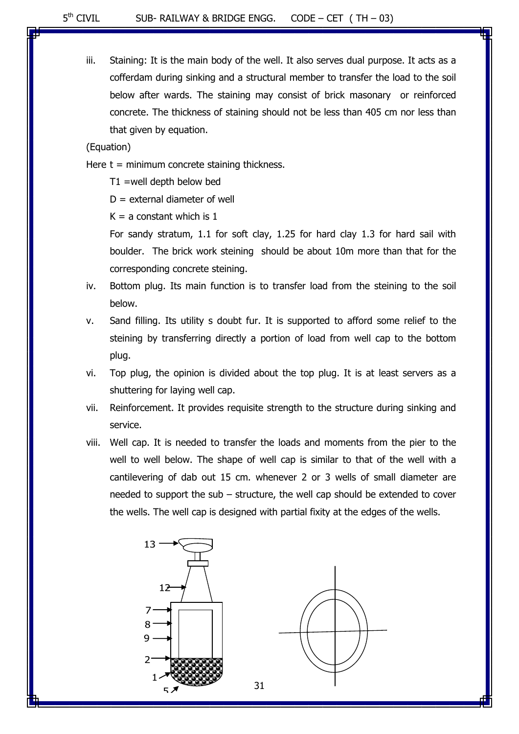iii. Staining: It is the main body of the well. It also serves dual purpose. It acts as a cofferdam during sinking and a structural member to transfer the load to the soil below after wards. The staining may consist of brick masonary or reinforced concrete. The thickness of staining should not be less than 405 cm nor less than that given by equation.

(Equation)

Here  $t =$  minimum concrete staining thickness.

T1 =well depth below bed

 $D =$  external diameter of well

 $K = a$  constant which is 1

For sandy stratum, 1.1 for soft clay, 1.25 for hard clay 1.3 for hard sail with boulder. The brick work steining should be about 10m more than that for the corresponding concrete steining.

- iv. Bottom plug. Its main function is to transfer load from the steining to the soil below.
- v. Sand filling. Its utility s doubt fur. It is supported to afford some relief to the steining by transferring directly a portion of load from well cap to the bottom plug.
- vi. Top plug, the opinion is divided about the top plug. It is at least servers as a shuttering for laying well cap.
- vii. Reinforcement. It provides requisite strength to the structure during sinking and service.
- viii. Well cap. It is needed to transfer the loads and moments from the pier to the well to well below. The shape of well cap is similar to that of the well with a cantilevering of dab out 15 cm. whenever 2 or 3 wells of small diameter are needed to support the sub – structure, the well cap should be extended to cover the wells. The well cap is designed with partial fixity at the edges of the wells.

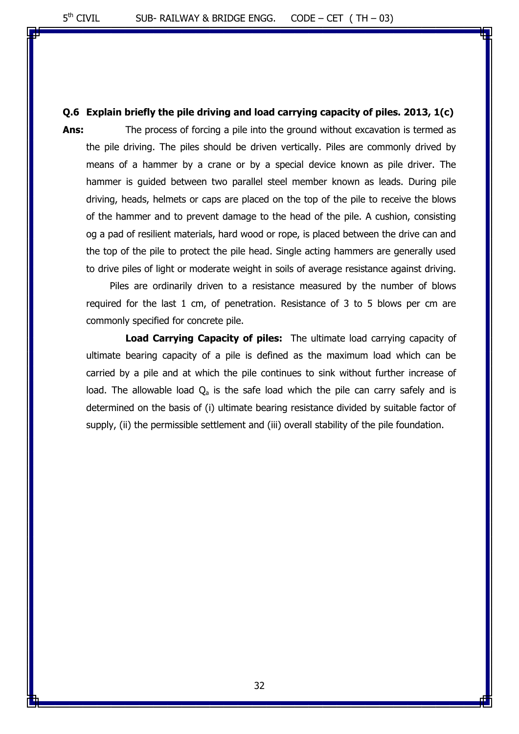**Q.6 Explain briefly the pile driving and load carrying capacity of piles. 2013, 1(c) Ans:** The process of forcing a pile into the ground without excavation is termed as the pile driving. The piles should be driven vertically. Piles are commonly drived by means of a hammer by a crane or by a special device known as pile driver. The hammer is guided between two parallel steel member known as leads. During pile driving, heads, helmets or caps are placed on the top of the pile to receive the blows of the hammer and to prevent damage to the head of the pile. A cushion, consisting og a pad of resilient materials, hard wood or rope, is placed between the drive can and the top of the pile to protect the pile head. Single acting hammers are generally used to drive piles of light or moderate weight in soils of average resistance against driving.

Piles are ordinarily driven to a resistance measured by the number of blows required for the last 1 cm, of penetration. Resistance of 3 to 5 blows per cm are commonly specified for concrete pile.

**Load Carrying Capacity of piles:** The ultimate load carrying capacity of ultimate bearing capacity of a pile is defined as the maximum load which can be carried by a pile and at which the pile continues to sink without further increase of load. The allowable load  $Q<sub>a</sub>$  is the safe load which the pile can carry safely and is determined on the basis of (i) ultimate bearing resistance divided by suitable factor of supply, (ii) the permissible settlement and (iii) overall stability of the pile foundation.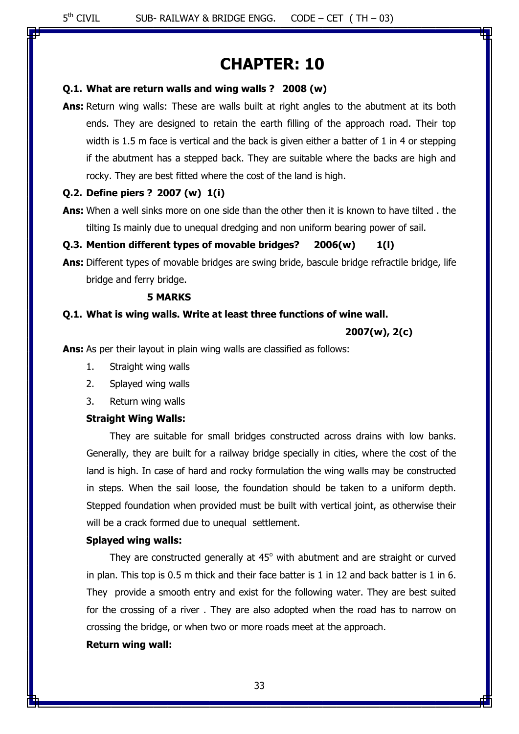# **CHAPTER: 10**

#### **Q.1. What are return walls and wing walls ? 2008 (w)**

**Ans:** Return wing walls: These are walls built at right angles to the abutment at its both ends. They are designed to retain the earth filling of the approach road. Their top width is 1.5 m face is vertical and the back is given either a batter of 1 in 4 or stepping if the abutment has a stepped back. They are suitable where the backs are high and rocky. They are best fitted where the cost of the land is high.

#### **Q.2. Define piers ? 2007 (w) 1(i)**

**Ans:** When a well sinks more on one side than the other then it is known to have tilted . the tilting Is mainly due to unequal dredging and non uniform bearing power of sail.

#### **Q.3. Mention different types of movable bridges? 2006(w) 1(l)**

**Ans:** Different types of movable bridges are swing bride, bascule bridge refractile bridge, life bridge and ferry bridge.

#### **5 MARKS**

#### **Q.1. What is wing walls. Write at least three functions of wine wall.**

**2007(w), 2(c)**

**Ans:** As per their layout in plain wing walls are classified as follows:

- 1. Straight wing walls
- 2. Splayed wing walls
- 3. Return wing walls

#### **Straight Wing Walls:**

They are suitable for small bridges constructed across drains with low banks. Generally, they are built for a railway bridge specially in cities, where the cost of the land is high. In case of hard and rocky formulation the wing walls may be constructed in steps. When the sail loose, the foundation should be taken to a uniform depth. Stepped foundation when provided must be built with vertical joint, as otherwise their will be a crack formed due to unequal settlement.

#### **Splayed wing walls:**

They are constructed generally at  $45^{\circ}$  with abutment and are straight or curved in plan. This top is 0.5 m thick and their face batter is 1 in 12 and back batter is 1 in 6. They provide a smooth entry and exist for the following water. They are best suited for the crossing of a river . They are also adopted when the road has to narrow on crossing the bridge, or when two or more roads meet at the approach.

#### **Return wing wall:**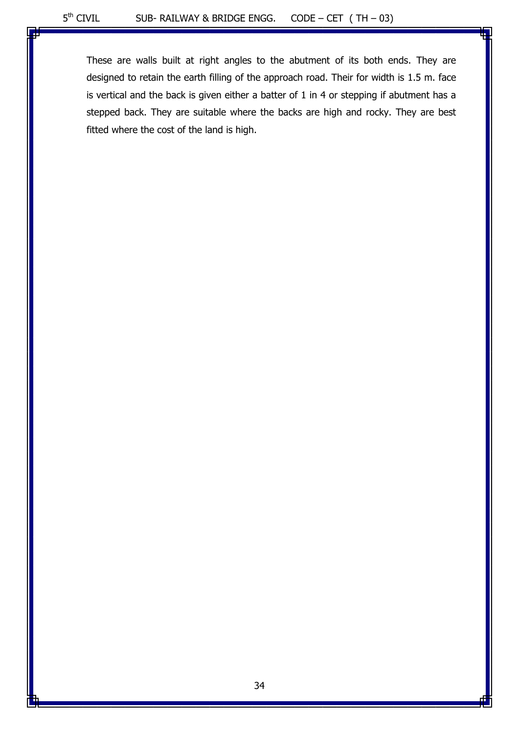These are walls built at right angles to the abutment of its both ends. They are designed to retain the earth filling of the approach road. Their for width is 1.5 m. face is vertical and the back is given either a batter of 1 in 4 or stepping if abutment has a stepped back. They are suitable where the backs are high and rocky. They are best fitted where the cost of the land is high.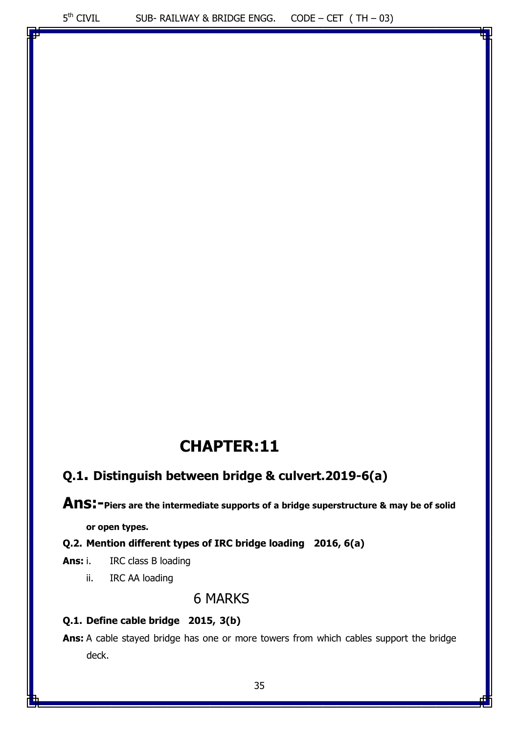# **CHAPTER:11**

## **Q.1. Distinguish between bridge & culvert.2019-6(a)**

## Ans: - Piers are the intermediate supports of a bridge superstructure & may be of solid

**or open types.**

#### **Q.2. Mention different types of IRC bridge loading 2016, 6(a)**

**Ans:** i. IRC class B loading

ii. IRC AA loading

## 6 MARKS

### **Q.1. Define cable bridge 2015, 3(b)**

**Ans:** A cable stayed bridge has one or more towers from which cables support the bridge deck.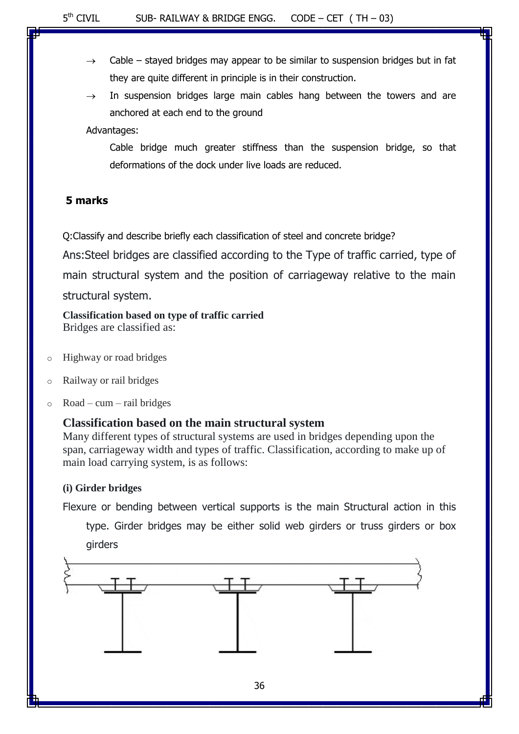- Cable stayed bridges may appear to be similar to suspension bridges but in fat they are quite different in principle is in their construction.
- $\rightarrow$  In suspension bridges large main cables hang between the towers and are anchored at each end to the ground

Advantages:

Cable bridge much greater stiffness than the suspension bridge, so that deformations of the dock under live loads are reduced.

## **5 marks**

Q:Classify and describe briefly each classification of steel and concrete bridge?

Ans:Steel bridges are classified according to the Type of traffic carried, type of main structural system and the position of carriageway relative to the main structural system.

**Classification based on type of traffic carried** Bridges are classified as:

- o Highway or road bridges
- o Railway or rail bridges
- o Road cum rail bridges

### **Classification based on the main structural system**

Many different types of structural systems are used in bridges depending upon the span, carriageway width and types of traffic. Classification, according to make up of main load carrying system, is as follows:

### **(i) Girder bridges**

Flexure or bending between vertical supports is the main Structural action in this

type. Girder bridges may be either solid web girders or truss girders or box girders

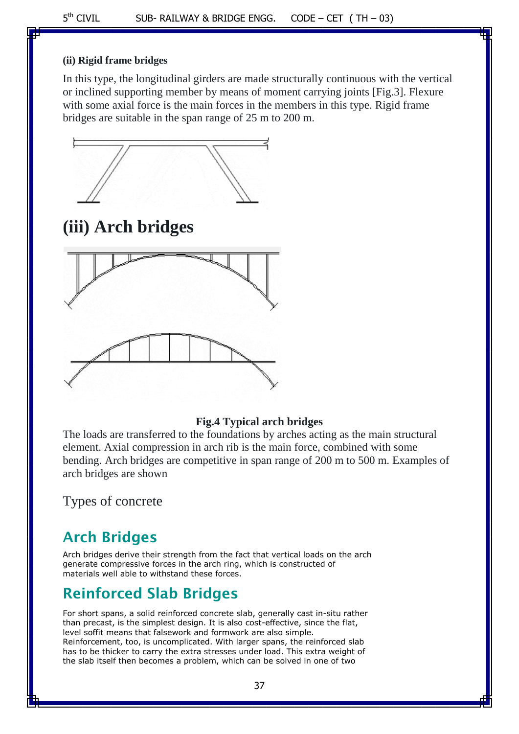### **(ii) Rigid frame bridges**

In this type, the longitudinal girders are made structurally continuous with the vertical or inclined supporting member by means of moment carrying joints [Fig.3]. Flexure with some axial force is the main forces in the members in this type. Rigid frame bridges are suitable in the span range of 25 m to 200 m.



# **(iii) Arch bridges**



#### **Fig.4 Typical arch bridges**

The loads are transferred to the foundations by arches acting as the main structural element. Axial compression in arch rib is the main force, combined with some bending. Arch bridges are competitive in span range of 200 m to 500 m. Examples of arch bridges are shown

Types of concrete

## **Arch Bridges**

Arch bridges derive their strength from the fact that vertical loads on the arch generate compressive forces in the arch ring, which is constructed of materials well able to withstand these forces.

## **Reinforced Slab Bridges**

For short spans, a solid reinforced concrete slab, generally cast in-situ rather than precast, is the simplest design. It is also cost-effective, since the flat, level soffit means that falsework and formwork are also simple. Reinforcement, too, is uncomplicated. With larger spans, the reinforced slab has to be thicker to carry the extra stresses under load. This extra weight of the slab itself then becomes a problem, which can be solved in one of two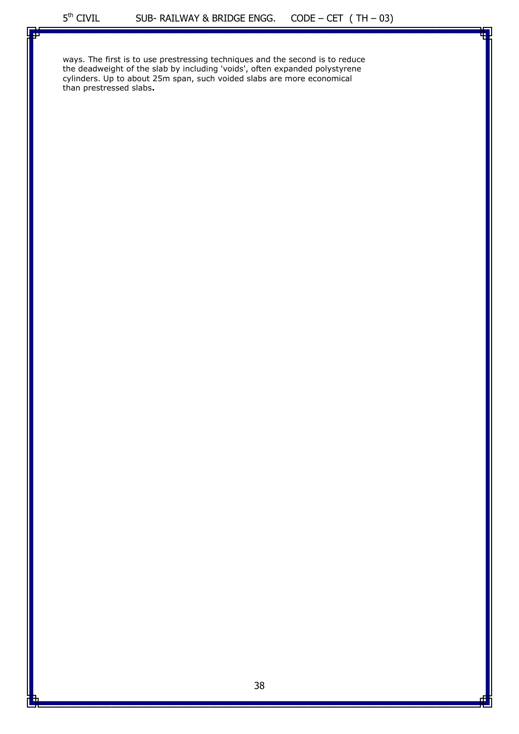ways. The first is to use prestressing techniques and the second is to reduce the deadweight of the slab by including 'voids', often expanded polystyrene cylinders. Up to about 25m span, such voided slabs are more economical than prestressed slabs**.**